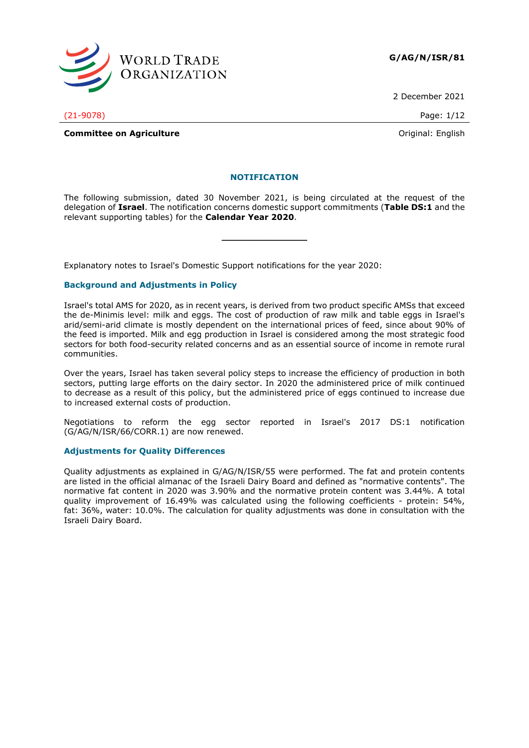

2 December 2021

(21-9078) Page: 1/12

**Committee on Agriculture Committee on Agriculture Committee on Agriculture Committee on Agriculture** 

#### **NOTIFICATION**

The following submission, dated 30 November 2021, is being circulated at the request of the delegation of **Israel**. The notification concerns domestic support commitments (**Table DS:1** and the relevant supporting tables) for the **Calendar Year 2020**.

**\_\_\_\_\_\_\_\_\_\_\_\_\_\_\_**

Explanatory notes to Israel's Domestic Support notifications for the year 2020:

#### **Background and Adjustments in Policy**

Israel's total AMS for 2020, as in recent years, is derived from two product specific AMSs that exceed the de-Minimis level: milk and eggs. The cost of production of raw milk and table eggs in Israel's arid/semi-arid climate is mostly dependent on the international prices of feed, since about 90% of the feed is imported. Milk and egg production in Israel is considered among the most strategic food sectors for both food-security related concerns and as an essential source of income in remote rural communities.

Over the years, Israel has taken several policy steps to increase the efficiency of production in both sectors, putting large efforts on the dairy sector. In 2020 the administered price of milk continued to decrease as a result of this policy, but the administered price of eggs continued to increase due to increased external costs of production.

Negotiations to reform the egg sector reported in Israel's 2017 DS:1 notification (G/AG/N/ISR/66/CORR.1) are now renewed.

#### **Adjustments for Quality Differences**

Quality adjustments as explained in G/AG/N/ISR/55 were performed. The fat and protein contents are listed in the official almanac of the Israeli Dairy Board and defined as "normative contents". The normative fat content in 2020 was 3.90% and the normative protein content was 3.44%. A total quality improvement of 16.49% was calculated using the following coefficients - protein: 54%, fat: 36%, water: 10.0%. The calculation for quality adjustments was done in consultation with the Israeli Dairy Board.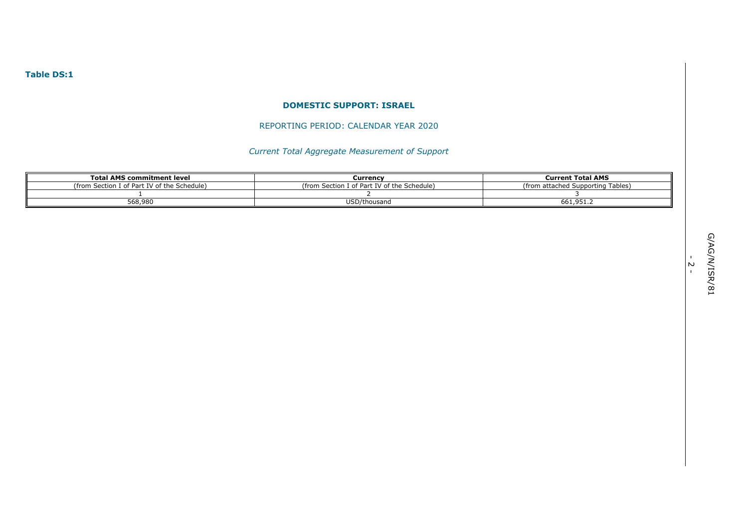## **Table DS:1**

#### **DOMESTIC SUPPORT: ISRAEL**

# REPORTING PERIOD: CALENDAR YEAR 2020

# *Current Total Aggregate Measurement of Support*

| <b>Total AMS commitment level</b>                | Currency                                    | <b>Current Total AMS</b>               |  |  |
|--------------------------------------------------|---------------------------------------------|----------------------------------------|--|--|
| n Section I of Part IV of the Schedule)<br>from) | (from Section I of Part IV of the Schedule) | Supporting Tables)<br>from attached Su |  |  |
|                                                  |                                             |                                        |  |  |
| 568,980                                          | USD/thousand                                | ۔۔661,951                              |  |  |

- 2 -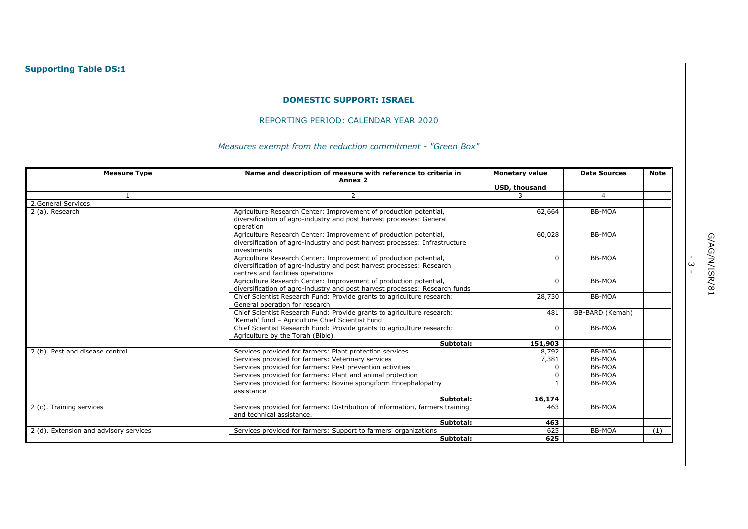# **Supporting Table DS:1**

#### **DOMESTIC SUPPORT: ISRAEL**

# REPORTING PERIOD: CALENDAR YEAR 2020

# *Measures exempt from the reduction commitment - "Green Box"*

| <b>Measure Type</b>                    | Name and description of measure with reference to criteria in<br>Annex 2                                                                                                        | <b>Monetary value</b> | <b>Data Sources</b> | <b>Note</b> |
|----------------------------------------|---------------------------------------------------------------------------------------------------------------------------------------------------------------------------------|-----------------------|---------------------|-------------|
|                                        |                                                                                                                                                                                 | USD, thousand         |                     |             |
|                                        | $\overline{2}$                                                                                                                                                                  |                       | $\overline{4}$      |             |
| 2. General Services                    |                                                                                                                                                                                 |                       |                     |             |
| 2 (a). Research                        | Agriculture Research Center: Improvement of production potential,<br>diversification of agro-industry and post harvest processes: General<br>operation                          | 62,664                | BB-MOA              |             |
|                                        | Agriculture Research Center: Improvement of production potential,<br>diversification of agro-industry and post harvest processes: Infrastructure<br>investments                 | 60,028                | BB-MOA              |             |
|                                        | Agriculture Research Center: Improvement of production potential,<br>diversification of agro-industry and post harvest processes: Research<br>centres and facilities operations | 0                     | <b>BB-MOA</b>       |             |
|                                        | Agriculture Research Center: Improvement of production potential,<br>diversification of agro-industry and post harvest processes: Research funds                                | $\Omega$              | BB-MOA              |             |
|                                        | Chief Scientist Research Fund: Provide grants to agriculture research:<br>General operation for research                                                                        | 28,730                | BB-MOA              |             |
|                                        | Chief Scientist Research Fund: Provide grants to agriculture research:<br>'Kemah' fund - Agriculture Chief Scientist Fund                                                       | 481                   | BB-BARD (Kemah)     |             |
|                                        | Chief Scientist Research Fund: Provide grants to agriculture research:<br>Agriculture by the Torah (Bible)                                                                      | 0                     | BB-MOA              |             |
|                                        | Subtotal:                                                                                                                                                                       | 151,903               |                     |             |
| 2 (b). Pest and disease control        | Services provided for farmers: Plant protection services                                                                                                                        | 8,792                 | BB-MOA              |             |
|                                        | Services provided for farmers: Veterinary services                                                                                                                              | 7,381                 | BB-MOA              |             |
|                                        | Services provided for farmers: Pest prevention activities                                                                                                                       | $\Omega$              | BB-MOA              |             |
|                                        | Services provided for farmers: Plant and animal protection                                                                                                                      | 0                     | <b>BB-MOA</b>       |             |
|                                        | Services provided for farmers: Bovine spongiform Encephalopathy<br>assistance                                                                                                   |                       | BB-MOA              |             |
|                                        | Subtotal:                                                                                                                                                                       | 16,174                |                     |             |
| 2 (c). Training services               | Services provided for farmers: Distribution of information, farmers training<br>and technical assistance.                                                                       | 463                   | BB-MOA              |             |
|                                        | Subtotal:                                                                                                                                                                       | 463                   |                     |             |
| 2 (d). Extension and advisory services | Services provided for farmers: Support to farmers' organizations                                                                                                                | 625                   | BB-MOA              | (1)         |
|                                        | Subtotal:                                                                                                                                                                       | 625                   |                     |             |

ا<br>ب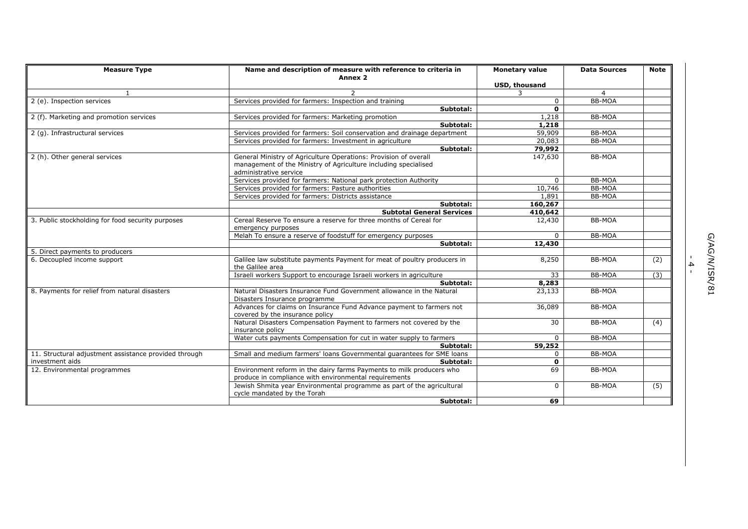| <b>Measure Type</b>                                   | Name and description of measure with reference to criteria in                                                                                                 | <b>Monetary value</b> | <b>Data Sources</b> | <b>Note</b> |
|-------------------------------------------------------|---------------------------------------------------------------------------------------------------------------------------------------------------------------|-----------------------|---------------------|-------------|
|                                                       | Annex <sub>2</sub>                                                                                                                                            |                       |                     |             |
|                                                       |                                                                                                                                                               | USD, thousand         |                     |             |
| $\mathbf{1}$                                          | $\mathcal{P}$                                                                                                                                                 | 3                     | $\overline{4}$      |             |
| 2 (e). Inspection services                            | Services provided for farmers: Inspection and training                                                                                                        | $\mathbf 0$           | <b>BB-MOA</b>       |             |
|                                                       | Subtotal:                                                                                                                                                     | $\mathbf{0}$          |                     |             |
| 2 (f). Marketing and promotion services               | Services provided for farmers: Marketing promotion                                                                                                            | 1,218                 | <b>BB-MOA</b>       |             |
|                                                       | Subtotal:                                                                                                                                                     | 1,218                 |                     |             |
| 2 (g). Infrastructural services                       | Services provided for farmers: Soil conservation and drainage department                                                                                      | 59,909                | <b>BB-MOA</b>       |             |
|                                                       | Services provided for farmers: Investment in agriculture                                                                                                      | 20,083                | BB-MOA              |             |
|                                                       | Subtotal:                                                                                                                                                     | 79,992                |                     |             |
| 2 (h). Other general services                         | General Ministry of Agriculture Operations: Provision of overall<br>management of the Ministry of Agriculture including specialised<br>administrative service | 147,630               | BB-MOA              |             |
|                                                       | Services provided for farmers: National park protection Authority                                                                                             | $\Omega$              | <b>BB-MOA</b>       |             |
|                                                       | Services provided for farmers: Pasture authorities                                                                                                            | 10,746                | BB-MOA              |             |
|                                                       | Services provided for farmers: Districts assistance                                                                                                           | 1,891                 | <b>BB-MOA</b>       |             |
|                                                       | Subtotal:                                                                                                                                                     | 160,267               |                     |             |
|                                                       | <b>Subtotal General Services</b>                                                                                                                              | 410,642               |                     |             |
| 3. Public stockholding for food security purposes     | Cereal Reserve To ensure a reserve for three months of Cereal for<br>emergency purposes                                                                       | 12,430                | BB-MOA              |             |
|                                                       | Melah To ensure a reserve of foodstuff for emergency purposes                                                                                                 | $\Omega$              | <b>BB-MOA</b>       |             |
|                                                       | Subtotal:                                                                                                                                                     | 12,430                |                     |             |
| 5. Direct payments to producers                       |                                                                                                                                                               |                       |                     |             |
| 6. Decoupled income support                           | Galilee law substitute payments Payment for meat of poultry producers in<br>the Galilee area                                                                  | 8,250                 | BB-MOA              | (2)         |
|                                                       | Israeli workers Support to encourage Israeli workers in agriculture                                                                                           | 33                    | <b>BB-MOA</b>       | (3)         |
|                                                       | Subtotal:                                                                                                                                                     | 8,283                 |                     |             |
| 8. Payments for relief from natural disasters         | Natural Disasters Insurance Fund Government allowance in the Natural<br>Disasters Insurance programme                                                         | 23,133                | BB-MOA              |             |
|                                                       | Advances for claims on Insurance Fund Advance payment to farmers not<br>covered by the insurance policy                                                       | 36,089                | BB-MOA              |             |
|                                                       | Natural Disasters Compensation Payment to farmers not covered by the<br>insurance policy                                                                      | 30                    | BB-MOA              | (4)         |
|                                                       | Water cuts payments Compensation for cut in water supply to farmers                                                                                           | $\Omega$              | BB-MOA              |             |
|                                                       | Subtotal:                                                                                                                                                     | 59,252                |                     |             |
| 11. Structural adjustment assistance provided through | Small and medium farmers' loans Governmental guarantees for SME loans                                                                                         | $\Omega$              | BB-MOA              |             |
| investment aids                                       | Subtotal:                                                                                                                                                     | $\mathbf{0}$          |                     |             |
| 12. Environmental programmes                          | Environment reform in the dairy farms Payments to milk producers who                                                                                          | 69                    | BB-MOA              |             |
|                                                       | produce in compliance with environmental requirements                                                                                                         |                       |                     |             |
|                                                       | Jewish Shmita year Environmental programme as part of the agricultural<br>cycle mandated by the Torah                                                         | $\mathbf{0}$          | <b>BB-MOA</b>       | (5)         |
|                                                       | Subtotal:                                                                                                                                                     | 69                    |                     |             |

- 4 -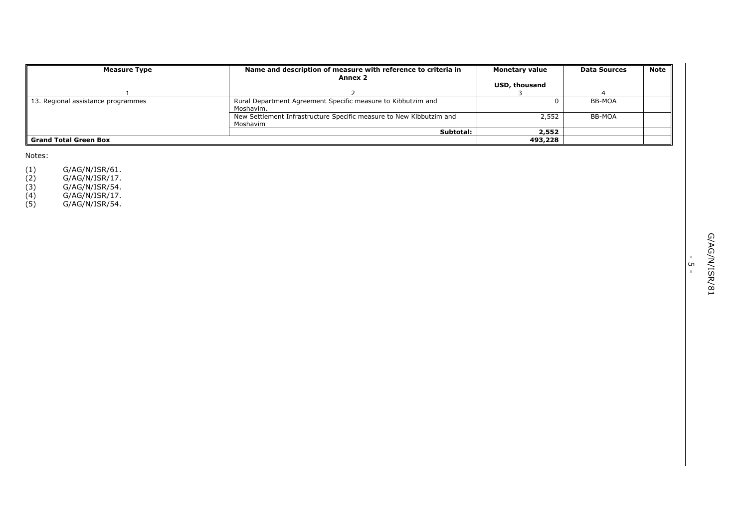| <b>Measure Type</b>                | Name and description of measure with reference to criteria in<br>Annex 2        | <b>Monetary value</b> | <b>Data Sources</b> | <b>Note</b> |
|------------------------------------|---------------------------------------------------------------------------------|-----------------------|---------------------|-------------|
|                                    |                                                                                 | <b>USD, thousand</b>  |                     |             |
|                                    |                                                                                 |                       |                     |             |
| 13. Regional assistance programmes | Rural Department Agreement Specific measure to Kibbutzim and<br>Moshavim.       |                       | BB-MOA              |             |
|                                    | New Settlement Infrastructure Specific measure to New Kibbutzim and<br>Moshavim | 2,552                 | BB-MOA              |             |
|                                    | Subtotal:                                                                       | 2,552                 |                     |             |
| <b>Grand Total Green Box</b>       |                                                                                 | 493,228               |                     |             |

Notes:

(1) G/AG/N/ISR/61.

(2) G/AG/N/ISR/17.

(3) G/AG/N/ISR/54.

(4) G/AG/N/ISR/17.

(5) G/AG/N/ISR/54.

י<br>ה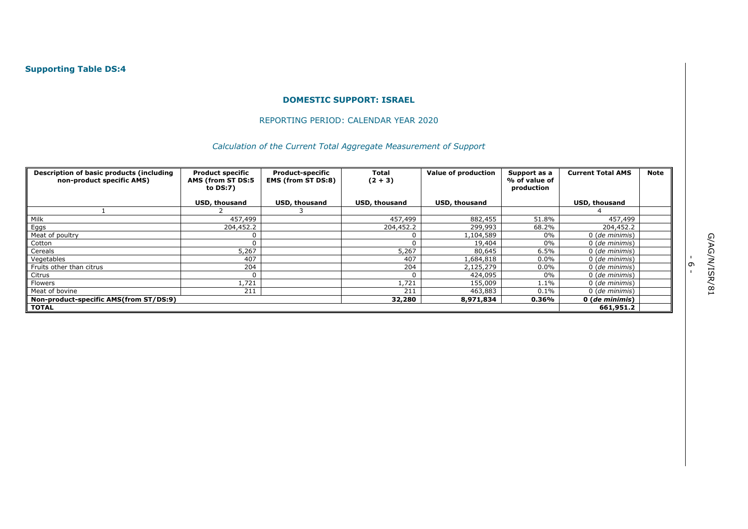## REPORTING PERIOD: CALENDAR YEAR 2020

# *Calculation of the Current Total Aggregate Measurement of Support*

| Description of basic products (including<br>non-product specific AMS) | <b>Product specific</b><br>AMS (from ST DS:5<br>to $DS:7$ ) | <b>Product-specific</b><br><b>Total</b><br><b>EMS (from ST DS:8)</b><br>$(2 + 3)$ |                      | <b>Value of production</b> | Support as a<br>% of value of<br>production | <b>Current Total AMS</b> | Note |
|-----------------------------------------------------------------------|-------------------------------------------------------------|-----------------------------------------------------------------------------------|----------------------|----------------------------|---------------------------------------------|--------------------------|------|
|                                                                       | USD, thousand                                               | USD, thousand                                                                     | <b>USD, thousand</b> | USD, thousand              |                                             | USD, thousand            |      |
|                                                                       |                                                             |                                                                                   |                      |                            |                                             |                          |      |
| Milk                                                                  | 457,499                                                     |                                                                                   | 457,499              | 882,455                    | 51.8%                                       | 457,499                  |      |
| Eggs                                                                  | 204,452.2                                                   |                                                                                   | 204,452.2            | 299,993                    | 68.2%                                       | 204,452.2                |      |
| Meat of poultry                                                       | 0                                                           |                                                                                   |                      | 1,104,589                  | 0%                                          | 0 (de minimis)           |      |
| Cotton                                                                | $\Omega$                                                    |                                                                                   |                      | 19,404                     | 0%                                          | 0 (de minimis)           |      |
| Cereals                                                               | 5,267                                                       |                                                                                   | 5,267                | 80,645                     | 6.5%                                        | 0 (de minimis)           |      |
| Vegetables                                                            | 407                                                         |                                                                                   | 407                  | 1,684,818                  | 0.0%                                        | 0 (de minimis)           |      |
| Fruits other than citrus                                              | 204                                                         |                                                                                   | 204                  | 2,125,279                  | $0.0\%$                                     | 0 (de minimis)           |      |
| Citrus                                                                | 0                                                           |                                                                                   |                      | 424,095                    | 0%                                          | 0 (de minimis)           |      |
| Flowers                                                               | .,721                                                       |                                                                                   | 1,721                | 155,009                    | 1.1%                                        | 0 (de minimis)           |      |
| Meat of bovine                                                        | 211                                                         |                                                                                   | 211                  | 463,883                    | $0.1\%$                                     | 0 (de minimis)           |      |
| Non-product-specific AMS(from ST/DS:9)                                |                                                             |                                                                                   | 32,280               | 8,971,834                  | 0.36%                                       | 0 (de minimis)           |      |
| <b>TOTAL</b>                                                          |                                                             |                                                                                   |                      |                            |                                             | 661,951.2                |      |

י<br>-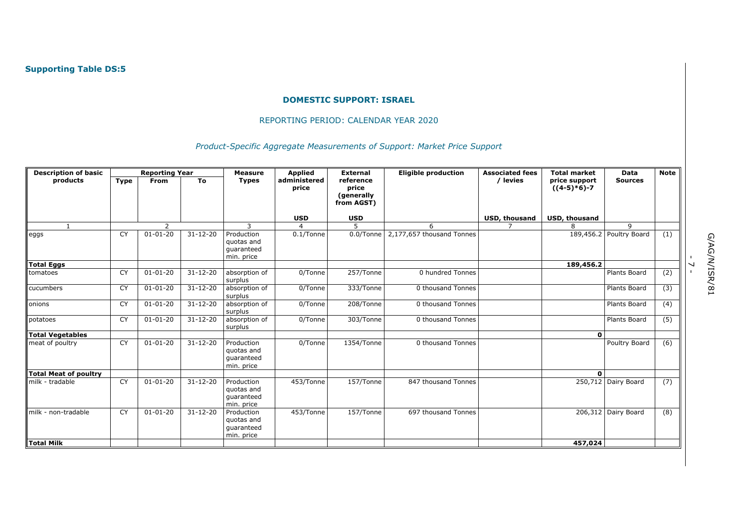## REPORTING PERIOD: CALENDAR YEAR 2020

*Product-Specific Aggregate Measurements of Support: Market Price Support* 

| <b>Description of basic</b> |             | <b>Reporting Year</b> |                | <b>Measure</b>                                       | <b>Applied</b>        | <b>External</b>                                | <b>Eligible production</b> | <b>Associated fees</b> | <b>Total market</b>            | <b>Data</b>             | <b>Note</b>      |
|-----------------------------|-------------|-----------------------|----------------|------------------------------------------------------|-----------------------|------------------------------------------------|----------------------------|------------------------|--------------------------------|-------------------------|------------------|
| products                    | <b>Type</b> | From                  | To             | <b>Types</b>                                         | administered<br>price | reference<br>price<br>(generally<br>from AGST) |                            | / levies               | price support<br>$((4-5)*6)-7$ | <b>Sources</b>          |                  |
|                             |             |                       |                |                                                      | <b>USD</b>            | <b>USD</b>                                     |                            | <b>USD, thousand</b>   | <b>USD, thousand</b>           |                         |                  |
| $\mathbf{1}$                |             | $\overline{2}$        |                | 3                                                    | $\overline{4}$        | 5                                              | 6                          | $\overline{7}$         |                                | 9                       |                  |
| eggs                        | <b>CY</b>   | $01 - 01 - 20$        | $31 - 12 - 20$ | Production<br>quotas and<br>quaranteed<br>min. price | $0.1$ /Tonne          | 0.0/Tonne                                      | 2,177,657 thousand Tonnes  |                        |                                | 189,456.2 Poultry Board | (1)              |
| <b>Total Eggs</b>           |             |                       |                |                                                      |                       |                                                |                            |                        | 189,456.2                      |                         |                  |
| tomatoes                    | CY          | $01 - 01 - 20$        | $31 - 12 - 20$ | absorption of<br>surplus                             | 0/Tonne               | 257/Tonne                                      | 0 hundred Tonnes           |                        |                                | Plants Board            | (2)              |
| cucumbers                   | <b>CY</b>   | $01 - 01 - 20$        | $31 - 12 - 20$ | absorption of<br>surplus                             | 0/Tonne               | 333/Tonne                                      | 0 thousand Tonnes          |                        |                                | Plants Board            | (3)              |
| onions                      | <b>CY</b>   | $01 - 01 - 20$        | $31 - 12 - 20$ | absorption of<br>surplus                             | 0/Tonne               | 208/Tonne                                      | 0 thousand Tonnes          |                        |                                | Plants Board            | $\overline{(4)}$ |
| potatoes                    | CY          | $01 - 01 - 20$        | $31 - 12 - 20$ | absorption of<br>surplus                             | 0/Tonne               | 303/Tonne                                      | 0 thousand Tonnes          |                        |                                | Plants Board            | (5)              |
| Total Vegetables            |             |                       |                |                                                      |                       |                                                |                            |                        | $\mathbf{0}$                   |                         |                  |
| meat of poultry             | CY          | $01 - 01 - 20$        | $31 - 12 - 20$ | Production<br>quotas and<br>quaranteed<br>min. price | 0/Tonne               | 1354/Tonne                                     | 0 thousand Tonnes          |                        |                                | Poultry Board           | (6)              |
| Total Meat of poultry       |             |                       |                |                                                      |                       |                                                |                            |                        | $\Omega$                       |                         |                  |
| milk - tradable             | CY          | $01 - 01 - 20$        | $31 - 12 - 20$ | Production<br>quotas and<br>guaranteed<br>min. price | 453/Tonne             | 157/Tonne                                      | 847 thousand Tonnes        |                        |                                | 250,712 Dairy Board     | (7)              |
| milk - non-tradable         | CY          | $01 - 01 - 20$        | $31 - 12 - 20$ | Production<br>quotas and<br>guaranteed<br>min. price | 453/Tonne             | 157/Tonne                                      | 697 thousand Tonnes        |                        |                                | 206,312 Dairy Board     | (8)              |
| <b>Total Milk</b>           |             |                       |                |                                                      |                       |                                                |                            |                        | 457,024                        |                         |                  |

- 7 -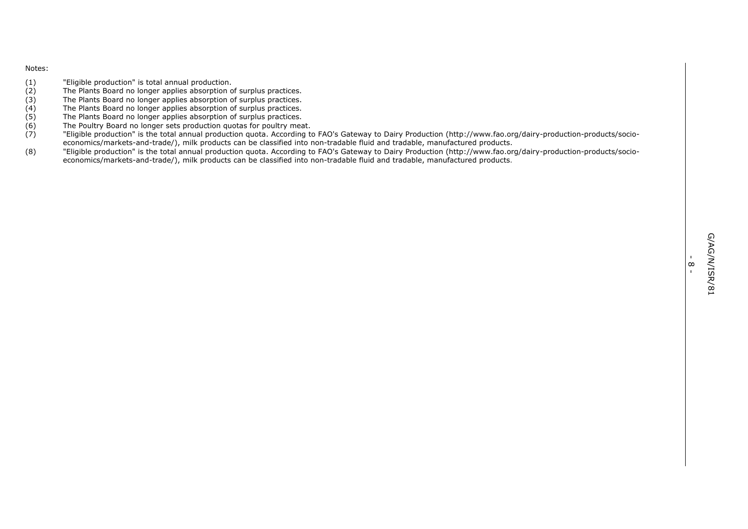#### Notes:

- (1) "Eligible production" is total annual production.<br>(2) The Plants Board no longer applies absorption c
- (2) The Plants Board no longer applies absorption of surplus practices.<br>
(3) The Plants Board no longer applies absorption of surplus practices.
- (3) The Plants Board no longer applies absorption of surplus practices.<br>
(4) The Plants Board no longer applies absorption of surplus practices.
- (4) The Plants Board no longer applies absorption of surplus practices.<br>(5) The Plants Board no longer applies absorption of surplus practices.
- 
- (5) The Plants Board no longer applies absorption of surplus practices.<br>(6) The Poultry Board no longer sets production quotas for poultry mea
- (6) The Poultry Board no longer sets production quotas for poultry meat.<br>(7) Fligible production" is the total annual production quota. According to (7) "Eligible production" is the total annual production quota. According to FAO's Gateway to Dairy Production (http://www.fao.org/dairy-production-products/socioeconomics/markets-and-trade/), milk products can be classified into non-tradable fluid and tradable, manufactured products.
- (8) "Eligible production" is the total annual production quota. According to FAO's Gateway to Dairy Production (http://www.fao.org/dairy-production-products/socioeconomics/markets-and-trade/), milk products can be classified into non-tradable fluid and tradable, manufactured products.

-  $\frac{8}{1}$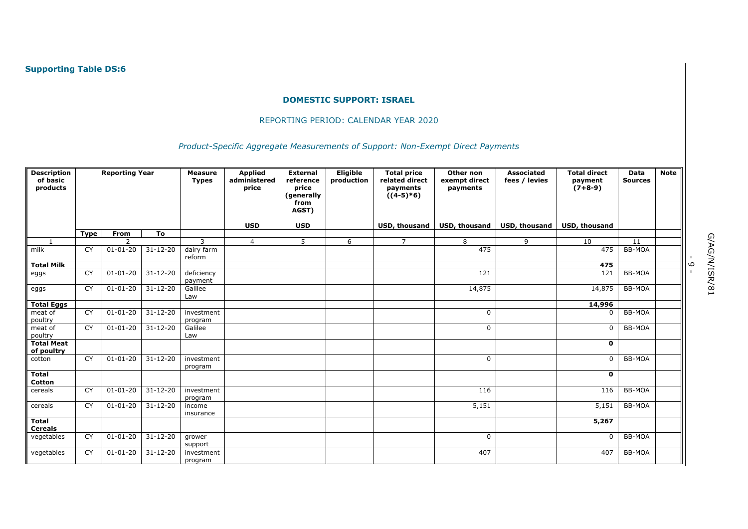#### REPORTING PERIOD: CALENDAR YEAR 2020

# *Product-Specific Aggregate Measurements of Support: Non-Exempt Direct Payments*

| <b>Description</b><br>of basic<br>products | <b>Reporting Year</b> |                | <b>Measure</b><br><b>Types</b> | <b>Applied</b><br>administered<br>price | <b>External</b><br>reference<br>price<br>(generally<br>from | Eligible<br>production | <b>Total price</b><br>related direct<br>payments<br>$((4-5)*6)$ | Other non<br>exempt direct<br>payments | <b>Associated</b><br>fees / levies | <b>Total direct</b><br>payment<br>$(7+8-9)$ | <b>Data</b><br><b>Sources</b> | <b>Note</b>   |  |
|--------------------------------------------|-----------------------|----------------|--------------------------------|-----------------------------------------|-------------------------------------------------------------|------------------------|-----------------------------------------------------------------|----------------------------------------|------------------------------------|---------------------------------------------|-------------------------------|---------------|--|
|                                            |                       |                |                                |                                         |                                                             | AGST)                  |                                                                 |                                        |                                    |                                             |                               |               |  |
|                                            |                       |                |                                |                                         | <b>USD</b>                                                  | <b>USD</b>             |                                                                 | USD, thousand                          | <b>USD, thousand</b>               | <b>USD, thousand</b>                        | USD, thousand                 |               |  |
|                                            | <b>Type</b>           | From           | To                             |                                         |                                                             |                        |                                                                 |                                        |                                    |                                             |                               |               |  |
|                                            |                       | $\mathcal{D}$  |                                | $\mathbf{z}$                            | $\overline{4}$                                              | 5                      | 6                                                               | $\overline{7}$                         | 8                                  | 9                                           | 10                            | 11            |  |
| milk                                       | CY                    | $01 - 01 - 20$ | $31 - 12 - 20$                 | dairy farm<br>reform                    |                                                             |                        |                                                                 |                                        | 475                                |                                             | 475                           | <b>BB-MOA</b> |  |
| <b>Total Milk</b>                          |                       |                |                                |                                         |                                                             |                        |                                                                 |                                        |                                    |                                             | 475                           |               |  |
| eggs                                       | CY                    | $01 - 01 - 20$ | $31 - 12 - 20$                 | deficiency<br>payment                   |                                                             |                        |                                                                 |                                        | 121                                |                                             | 121                           | <b>BB-MOA</b> |  |
| eggs                                       | $\overline{CY}$       | $01 - 01 - 20$ | $31 - 12 - 20$                 | Galilee<br>Law                          |                                                             |                        |                                                                 |                                        | 14,875                             |                                             | 14,875                        | <b>BB-MOA</b> |  |
| <b>Total Eggs</b>                          |                       |                |                                |                                         |                                                             |                        |                                                                 |                                        |                                    |                                             | 14,996                        |               |  |
| meat of<br>poultry                         | CY                    | $01 - 01 - 20$ | $31 - 12 - 20$                 | investment<br>program                   |                                                             |                        |                                                                 |                                        | $\Omega$                           |                                             | $\mathbf{0}$                  | <b>BB-MOA</b> |  |
| meat of<br>poultry                         | CY                    | $01 - 01 - 20$ | $31 - 12 - 20$                 | Galilee<br>Law                          |                                                             |                        |                                                                 |                                        | $\mathbf 0$                        |                                             | $\Omega$                      | BB-MOA        |  |
| <b>Total Meat</b><br>of poultry            |                       |                |                                |                                         |                                                             |                        |                                                                 |                                        |                                    |                                             | $\mathbf{0}$                  |               |  |
| cotton                                     | CY                    | $01 - 01 - 20$ | $31 - 12 - 20$                 | investment<br>program                   |                                                             |                        |                                                                 |                                        | $\mathbf 0$                        |                                             | $\mathbf 0$                   | BB-MOA        |  |
| <b>Total</b><br><b>Cotton</b>              |                       |                |                                |                                         |                                                             |                        |                                                                 |                                        |                                    |                                             | $\mathbf 0$                   |               |  |
| cereals                                    | CY                    | $01 - 01 - 20$ | $31 - 12 - 20$                 | investment<br>program                   |                                                             |                        |                                                                 |                                        | 116                                |                                             | 116                           | <b>BB-MOA</b> |  |
| cereals                                    | CY                    | $01 - 01 - 20$ | $31 - 12 - 20$                 | income<br>insurance                     |                                                             |                        |                                                                 |                                        | 5,151                              |                                             | 5,151                         | <b>BB-MOA</b> |  |
| <b>Total</b><br><b>Cereals</b>             |                       |                |                                |                                         |                                                             |                        |                                                                 |                                        |                                    |                                             | 5,267                         |               |  |
| vegetables                                 | CY                    | $01 - 01 - 20$ | $31 - 12 - 20$                 | grower<br>support                       |                                                             |                        |                                                                 |                                        | 0                                  |                                             | 0                             | <b>BB-MOA</b> |  |
| vegetables                                 | CY                    | $01 - 01 - 20$ | $31 - 12 - 20$                 | investment<br>program                   |                                                             |                        |                                                                 |                                        | 407                                |                                             | 407                           | BB-MOA        |  |

.<br>م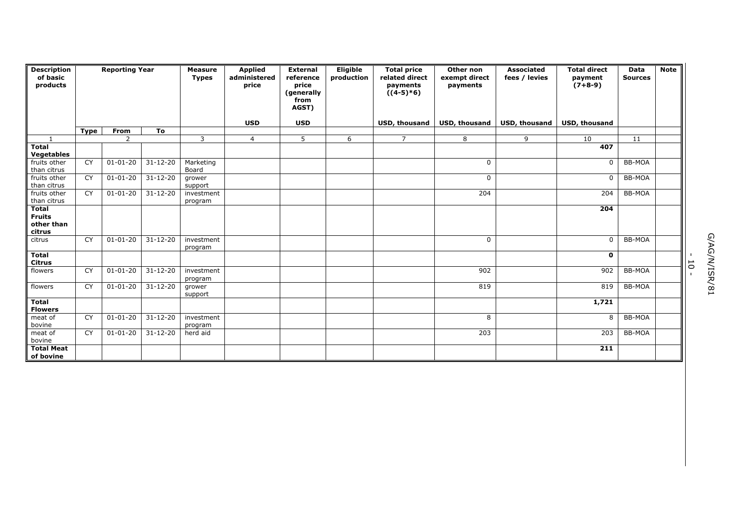| <b>Description</b><br>of basic<br>products            | <b>Reporting Year</b> |                | <b>Measure</b><br><b>Types</b> | <b>Applied</b><br>administered<br>price | <b>External</b><br>reference<br>price<br>(generally<br>from<br>AGST) | Eligible<br>production | <b>Total price</b><br>related direct<br>payments<br>$((4-5)*6)$ | Other non<br>exempt direct<br>payments | <b>Associated</b><br>fees / levies | <b>Total direct</b><br>payment<br>$(7+8-9)$ | Data<br><b>Sources</b> | <b>Note</b>   |  |
|-------------------------------------------------------|-----------------------|----------------|--------------------------------|-----------------------------------------|----------------------------------------------------------------------|------------------------|-----------------------------------------------------------------|----------------------------------------|------------------------------------|---------------------------------------------|------------------------|---------------|--|
|                                                       |                       |                |                                |                                         | <b>USD</b>                                                           | <b>USD</b>             |                                                                 | <b>USD, thousand</b>                   | <b>USD, thousand</b>               | <b>USD, thousand</b>                        | <b>USD, thousand</b>   |               |  |
|                                                       | <b>Type</b>           | From           | To                             |                                         |                                                                      |                        |                                                                 |                                        |                                    |                                             |                        |               |  |
|                                                       |                       | $\mathcal{D}$  |                                | 3                                       | $\overline{4}$                                                       | 5                      | 6                                                               | $\overline{7}$                         | 8                                  | 9                                           | 10                     | 11            |  |
| <b>Total</b>                                          |                       |                |                                |                                         |                                                                      |                        |                                                                 |                                        |                                    |                                             | 407                    |               |  |
| <b>Vegetables</b>                                     |                       |                |                                |                                         |                                                                      |                        |                                                                 |                                        |                                    |                                             |                        |               |  |
| fruits other<br>than citrus                           | CY                    | $01 - 01 - 20$ | $31 - 12 - 20$                 | Marketing<br>Board                      |                                                                      |                        |                                                                 |                                        | $\mathbf 0$                        |                                             | $\mathbf 0$            | <b>BB-MOA</b> |  |
| fruits other<br>than citrus                           | <b>CY</b>             | $01 - 01 - 20$ | $31 - 12 - 20$                 | grower<br>support                       |                                                                      |                        |                                                                 |                                        | $\mathbf 0$                        |                                             | $\mathbf 0$            | <b>BB-MOA</b> |  |
| fruits other<br>than citrus                           | CY                    | $01 - 01 - 20$ | $31 - 12 - 20$                 | investment<br>program                   |                                                                      |                        |                                                                 |                                        | 204                                |                                             | 204                    | <b>BB-MOA</b> |  |
| <b>Total</b><br><b>Fruits</b><br>other than<br>citrus |                       |                |                                |                                         |                                                                      |                        |                                                                 |                                        |                                    |                                             | 204                    |               |  |
| citrus                                                | CY                    | $01 - 01 - 20$ | $31 - 12 - 20$                 | investment<br>program                   |                                                                      |                        |                                                                 |                                        | $\Omega$                           |                                             | $\mathbf 0$            | <b>BB-MOA</b> |  |
| <b>Total</b><br><b>Citrus</b>                         |                       |                |                                |                                         |                                                                      |                        |                                                                 |                                        |                                    |                                             | $\mathbf 0$            |               |  |
| flowers                                               | CY                    | $01 - 01 - 20$ | $31 - 12 - 20$                 | investment<br>program                   |                                                                      |                        |                                                                 |                                        | 902                                |                                             | 902                    | BB-MOA        |  |
| flowers                                               | CY                    | $01 - 01 - 20$ | $31 - 12 - 20$                 | grower<br>support                       |                                                                      |                        |                                                                 |                                        | 819                                |                                             | 819                    | <b>BB-MOA</b> |  |
| <b>Total</b><br><b>Flowers</b>                        |                       |                |                                |                                         |                                                                      |                        |                                                                 |                                        |                                    |                                             | 1,721                  |               |  |
| meat of<br>bovine                                     | CY                    | $01 - 01 - 20$ | $31 - 12 - 20$                 | investment<br>program                   |                                                                      |                        |                                                                 |                                        | 8                                  |                                             | 8                      | <b>BB-MOA</b> |  |
| meat of<br>bovine                                     | CY                    | $01 - 01 - 20$ | $31 - 12 - 20$                 | herd aid                                |                                                                      |                        |                                                                 |                                        | 203                                |                                             | 203                    | <b>BB-MOA</b> |  |
| <b>Total Meat</b><br>of bovine                        |                       |                |                                |                                         |                                                                      |                        |                                                                 |                                        |                                    |                                             | 211                    |               |  |

- 10 -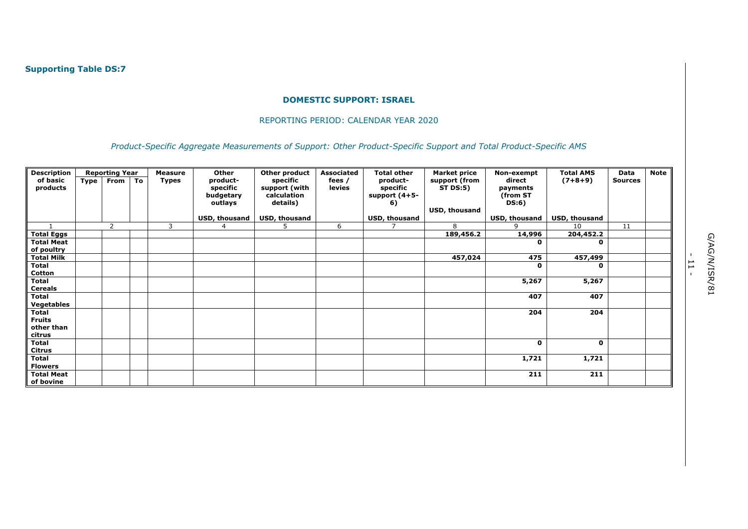#### REPORTING PERIOD: CALENDAR YEAR 2020

*Product-Specific Aggregate Measurements of Support: Other Product-Specific Support and Total Product-Specific AMS* 

| <b>Description</b> |      | <b>Reporting Year</b> |    | <b>Measure</b> | Other         | Other product | <b>Associated</b> | <b>Total other</b> | <b>Market price</b> | Non-exempt    | <b>Total AMS</b> | Data           | <b>Note</b> |
|--------------------|------|-----------------------|----|----------------|---------------|---------------|-------------------|--------------------|---------------------|---------------|------------------|----------------|-------------|
| of basic           | Type | <b>From</b>           | To | <b>Types</b>   | product-      | specific      | fees /            | product-           | support (from       | direct        | $(7+8+9)$        | <b>Sources</b> |             |
| products           |      |                       |    |                | specific      | support (with | levies            | specific           | <b>ST DS:5)</b>     | payments      |                  |                |             |
|                    |      |                       |    |                | budgetary     | calculation   |                   | support $(4+5-$    |                     | (from ST      |                  |                |             |
|                    |      |                       |    |                | outlays       | details)      |                   | 6)                 |                     | DS:6)         |                  |                |             |
|                    |      |                       |    |                |               |               |                   |                    | USD, thousand       |               |                  |                |             |
|                    |      |                       |    |                | USD, thousand | USD, thousand |                   | USD, thousand      |                     | USD, thousand | USD, thousand    |                |             |
| $\overline{1}$     |      | $\overline{2}$        |    | 3              | 4             | 5             | 6                 |                    | 8                   | 9             | 10               | 11             |             |
| <b>Total Eggs</b>  |      |                       |    |                |               |               |                   |                    | 189,456.2           | 14,996        | 204,452.2        |                |             |
| <b>Total Meat</b>  |      |                       |    |                |               |               |                   |                    |                     | 0             | 0                |                |             |
| of poultry         |      |                       |    |                |               |               |                   |                    |                     |               |                  |                |             |
| <b>Total Milk</b>  |      |                       |    |                |               |               |                   |                    | 457,024             | 475           | 457,499          |                |             |
| <b>Total</b>       |      |                       |    |                |               |               |                   |                    |                     | 0             | 0                |                |             |
| Cotton             |      |                       |    |                |               |               |                   |                    |                     |               |                  |                |             |
| <b>Total</b>       |      |                       |    |                |               |               |                   |                    |                     | 5,267         | 5,267            |                |             |
| <b>Cereals</b>     |      |                       |    |                |               |               |                   |                    |                     |               |                  |                |             |
| Total              |      |                       |    |                |               |               |                   |                    |                     | 407           | 407              |                |             |
| <b>Vegetables</b>  |      |                       |    |                |               |               |                   |                    |                     |               |                  |                |             |
| <b>Total</b>       |      |                       |    |                |               |               |                   |                    |                     | 204           | 204              |                |             |
| <b>Fruits</b>      |      |                       |    |                |               |               |                   |                    |                     |               |                  |                |             |
| other than         |      |                       |    |                |               |               |                   |                    |                     |               |                  |                |             |
| citrus             |      |                       |    |                |               |               |                   |                    |                     |               |                  |                |             |
| <b>Total</b>       |      |                       |    |                |               |               |                   |                    |                     | 0             | 0                |                |             |
| <b>Citrus</b>      |      |                       |    |                |               |               |                   |                    |                     |               |                  |                |             |
| <b>Total</b>       |      |                       |    |                |               |               |                   |                    |                     | 1,721         | 1,721            |                |             |
| <b>Flowers</b>     |      |                       |    |                |               |               |                   |                    |                     |               |                  |                |             |
| <b>Total Meat</b>  |      |                       |    |                |               |               |                   |                    |                     | 211           | 211              |                |             |
| of bovine          |      |                       |    |                |               |               |                   |                    |                     |               |                  |                |             |

- 11 -